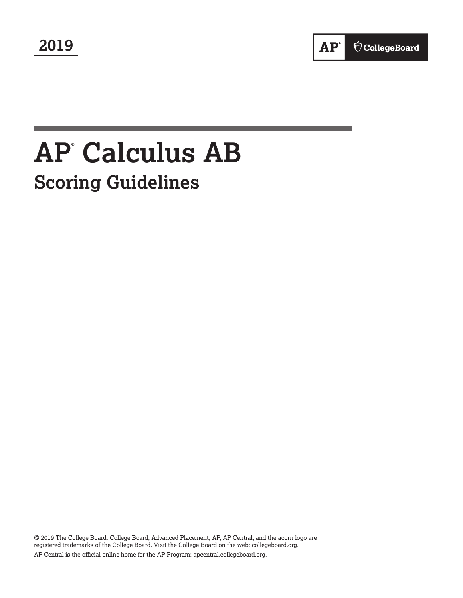**2019**



# **AP® Calculus AB Scoring Guidelines**

© 2019 The College Board. College Board, Advanced Placement, AP, AP Central, and the acorn logo are registered trademarks of the College Board. Visit the College Board on the web: collegeboard.org. AP Central is the official online home for the AP Program: apcentral.collegeboard.org.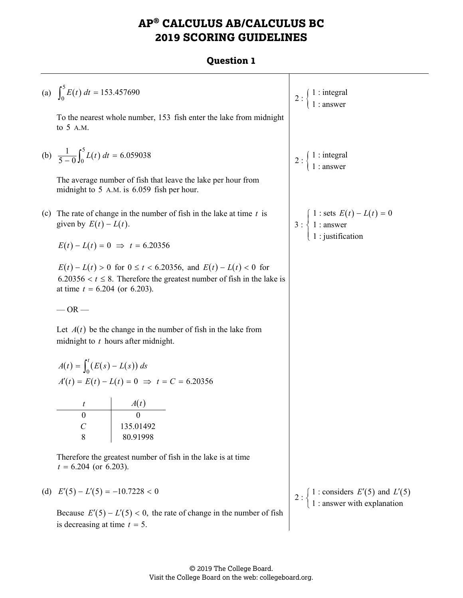# **AP® CALCULUS AB/CALCULUS BC 2019 SCORING GUIDELINES**

#### **Question 1**

Τ

|     | (a) $\int_0^5 E(t) dt = 153.457690$                                                                                                                                                     | $2:\begin{cases} 1: \text{integral} \\ 1: \text{answer} \end{cases}$                                                 |
|-----|-----------------------------------------------------------------------------------------------------------------------------------------------------------------------------------------|----------------------------------------------------------------------------------------------------------------------|
|     | To the nearest whole number, 153 fish enter the lake from midnight<br>to 5 A.M.                                                                                                         |                                                                                                                      |
|     | (b) $\frac{1}{5-0} \int_0^5 L(t) dt = 6.059038$                                                                                                                                         | $2:\begin{cases}1: \text{integral} \\ 1: \text{answer}\end{cases}$                                                   |
|     | The average number of fish that leave the lake per hour from<br>midnight to 5 A.M. is 6.059 fish per hour.                                                                              |                                                                                                                      |
| (c) | The rate of change in the number of fish in the lake at time $t$ is<br>given by $E(t) - L(t)$ .                                                                                         | 3 : $\begin{cases} 1 : \text{sets } E(t) - L(t) = 0 \\ 1 : \text{answer} \\ 1 : \text{justification} \end{cases}$    |
|     | $E(t) - L(t) = 0 \implies t = 6.20356$                                                                                                                                                  |                                                                                                                      |
|     | $E(t) - L(t) > 0$ for $0 \le t < 6.20356$ , and $E(t) - L(t) < 0$ for<br>$6.20356 < t \leq 8$ . Therefore the greatest number of fish in the lake is<br>at time $t = 6.204$ (or 6.203). |                                                                                                                      |
|     | $-OR-$                                                                                                                                                                                  |                                                                                                                      |
|     | Let $A(t)$ be the change in the number of fish in the lake from<br>midnight to $t$ hours after midnight.                                                                                |                                                                                                                      |
|     | $A(t) = \int_0^t (E(s) - L(s)) ds$                                                                                                                                                      |                                                                                                                      |
|     | $A'(t) = E(t) - L(t) = 0 \implies t = C = 6.20356$                                                                                                                                      |                                                                                                                      |
|     |                                                                                                                                                                                         |                                                                                                                      |
|     | $\theta$                                                                                                                                                                                |                                                                                                                      |
|     | $\boldsymbol{C}$<br>135.01492                                                                                                                                                           |                                                                                                                      |
|     | 8<br>80.91998                                                                                                                                                                           |                                                                                                                      |
|     | Therefore the greatest number of fish in the lake is at time<br>$t = 6.204$ (or 6.203).                                                                                                 |                                                                                                                      |
|     | (d) $E'(5) - L'(5) = -10.7228 < 0$                                                                                                                                                      | 2 : $\begin{cases} 1 : \text{considers } E'(5) \text{ and } L'(5) \\ 1 : \text{answer with explanation} \end{cases}$ |
|     | Because $E'(5) - L'(5) < 0$ , the rate of change in the number of fish<br>is decreasing at time $t = 5$ .                                                                               |                                                                                                                      |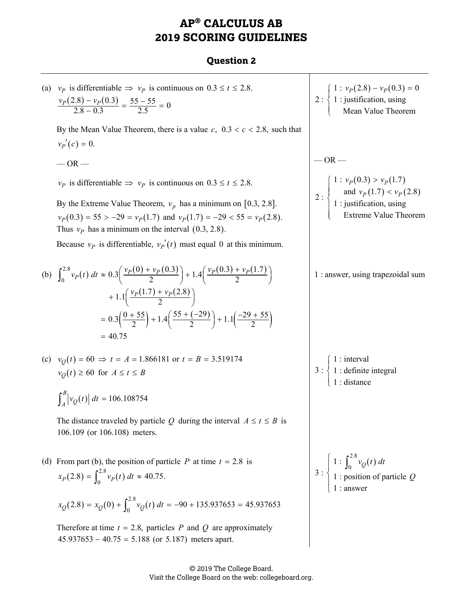# **AP® CALCULUS AB 2019 SCORING GUIDELINES**

#### **Question 2**

(a) 
$$
v_p
$$
 is differentiable  $\Rightarrow v_p$  is continuous on 0.3 ≤ t ≤ 2.8.  
\n
$$
\frac{v_p(2.8) - v_p(0.3)}{2.8 - 0.3} = \frac{55 - 55}{2.5} = 0
$$
\nBy the Mean Value Theorem, there is a value c, 0.3 < c < 2.8, such that  
\n $v_p$  (c) = 0.  
\n— OR—  
\n $v_p$  is differentiable  $\Rightarrow v_p$  is continuous on 0.3 ≤ t ≤ 2.8.  
\nBy the Extreme Value Theorem,  $v_p$  has a minimum on [0.3, 2.8].  
\n
$$
v_p(0.3) - 55 > -29 - v_p(1.7)
$$
 and  $v_p(1.7) = -29 < 55 - v_p(2.8)$ .  
\nBecause  $v_p$  is differentiable,  $v_p'(t)$  must equal 0 at this minimum.  
\n(b) 
$$
\int_0^{2.8} v_p(t) dt \approx 0.3 \left(\frac{v_p(0) + v_p(0.3)}{2}\right) + 1.4 \left(\frac{v_p(0.3) + v_p(1.7)}{2}\right)
$$
\n
$$
= 0.3 \left(\frac{0 + 55}{2}\right) + 1.4 \left(\frac{55 + (-29)}{2}\right) + 1.1 \left(\frac{-29 + 55}{2}\right)
$$
\n
$$
= 40.75
$$
\n(c)  $v_p(t) \ge 60$  for  $A \le t \le B$   
\n
$$
\int_0^R |v_Q(t)| dt = 106.108754
$$
\nThe distance traveled by particle Q during the interval  $A \le t \le B$  is  
\n
$$
106.109
$$
 (or 106.108) meters.  
\n(d) From part (b), the position of particle P at time  $t = 2.8$  is  
\n
$$
x_p(2.8) = x_Q(0) + \int_0^{2.8} v_p(t) dt \approx 40.75.
$$
\n
$$
x_Q(2.8) = x_Q(0) + \int_0^{2.8} v_p(t) dt \approx 40.75.
$$
\n
$$
x_Q(2.8) = x_Q(0) + \int_0^{2.8} v_p(t) dt = -90
$$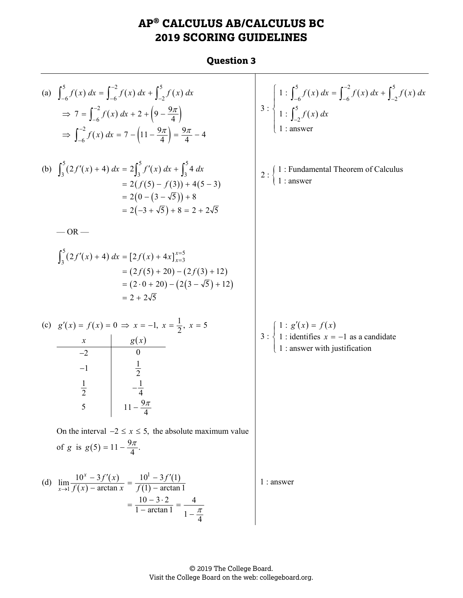# **AP® CALCULUS AB/CALCULUS BC 2019 SCORING GUIDELINES**

#### **Question 3**

| (a) $\int_{-6}^{5} f(x) dx = \int_{-6}^{-2} f(x) dx + \int_{-2}^{5} f(x) dx$<br>$\Rightarrow$ 7 = $\int_{-6}^{-2} f(x) dx + 2 + \left(9 - \frac{9\pi}{4}\right)$<br>$\Rightarrow \int_{-6}^{-2} f(x) dx = 7 - (11 - \frac{9\pi}{4}) = \frac{9\pi}{4} - 4$                                                                                                                                                         | 3 : $\begin{cases} 1 : \int_{-6}^{5} f(x) dx = \int_{-6}^{-2} f(x) dx + \int_{-2}^{5} f(x) dx \\ 1 : \int_{-2}^{5} f(x) dx \\ 1 : \text{answer} \end{cases}$ |
|-------------------------------------------------------------------------------------------------------------------------------------------------------------------------------------------------------------------------------------------------------------------------------------------------------------------------------------------------------------------------------------------------------------------|--------------------------------------------------------------------------------------------------------------------------------------------------------------|
| (b) $\int_3^3 (2f'(x) + 4) dx = 2 \int_3^3 f'(x) dx + \int_3^3 4 dx$<br>$= 2(f(5) - f(3)) + 4(5 - 3)$<br>$=2(0-(3-\sqrt{5}))+8$<br>$= 2(-3 + \sqrt{5}) + 8 = 2 + 2\sqrt{5}$                                                                                                                                                                                                                                       | $1$ : Fundamental Theorem of Calculus $1$ : answer<br>$2:\}$                                                                                                 |
| $-OR -$<br>$\int_{3}^{3} (2f'(x) + 4) dx = [2f(x) + 4x]_{x=3}^{x=5}$<br>$= (2f(5) + 20) - (2f(3) + 12)$<br>$= (2 \cdot 0 + 20) - (2(3 - \sqrt{5}) + 12)$<br>$= 2 + 2\sqrt{5}$<br>(c) $g'(x) = f(x) = 0 \implies x = -1, x = \frac{1}{2}, x = 5$<br>$\begin{array}{c c} x & g(x) \ \hline -2 & 0 \end{array}$<br>$rac{1}{2}$<br>$-\frac{1}{4}$<br>$-1$<br>$\frac{1}{2}$<br>$11 - \frac{9\pi}{4}$<br>$\overline{5}$ | $3: \begin{cases} 1: g'(x) = f(x) \\ 1:$ identifies $x = -1$ as a candidate<br>1 : answer with justification                                                 |
| On the interval $-2 \le x \le 5$ , the absolute maximum value<br>of g is $g(5) = 11 - \frac{9\pi}{4}$ .<br>(d) $\lim_{x \to 1} \frac{10^x - 3f'(x)}{f(x) - \arctan x} = \frac{10^1 - 3f'(1)}{f(1) - \arctan 1}$<br>$= \frac{10 - 3 \cdot 2}{1 - \arctan 1} = \frac{4}{1 - \frac{\pi}{4}}$                                                                                                                         | $1:$ answer                                                                                                                                                  |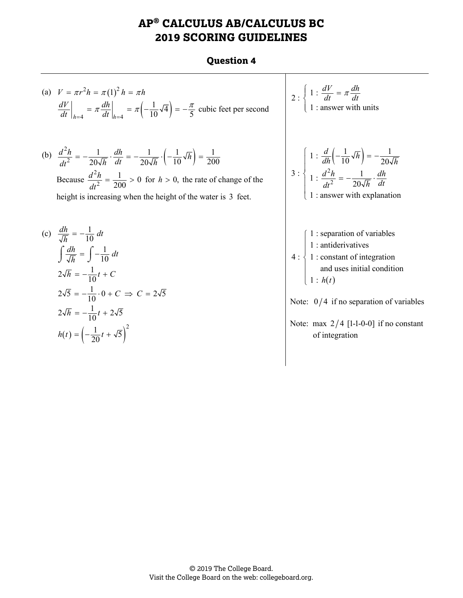# **AP® CALCULUS AB/CALCULUS BC 2019 SCORING GUIDELINES**

#### **Question 4**

(a) 
$$
V = \pi r^2 h = \pi (1)^2 h = \pi h
$$
  
\n
$$
\left. \frac{dV}{dt} \right|_{h=4} = \pi \frac{dh}{dt} \bigg|_{h=4} = \pi \left( -\frac{1}{10} \sqrt{4} \right) = -\frac{\pi}{5} \text{ cubic feet per second}
$$

(b)  $\frac{d^2h}{dt^2} = -\frac{1}{20\sqrt{h}} \cdot \frac{dh}{dt} = -\frac{1}{20\sqrt{h}} \cdot \left(-\frac{1}{10}\sqrt{h}\right)$ 1  $dh$  1 2  $1 \overline{h}$   $1$  $0\sqrt{h}$  dt  $^{-}$   $20\sqrt{h}$  |  $10^{10}$   $^{-}$  200  $\frac{d^2h}{dt^2} = -\frac{1}{20\sqrt{h}} \cdot \frac{dh}{dt} = -\frac{1}{20\sqrt{h}} \cdot \left(-\frac{1}{10}\sqrt{h}\right) =$ Because 2  $\frac{d^2h}{dt^2} = \frac{1}{200} > 0$ *dt*  $f = \frac{1}{200} > 0$  for  $h > 0$ , the rate of change of the height is increasing when the height of the water is 3 feet.

(c) 
$$
\frac{dh}{\sqrt{h}} = -\frac{1}{10} dt
$$
  
\n $\int \frac{dh}{\sqrt{h}} = \int -\frac{1}{10} dt$   
\n $2\sqrt{h} = -\frac{1}{10}t + C$   
\n $2\sqrt{5} = -\frac{1}{10} \cdot 0 + C \implies C = 2\sqrt{5}$   
\n $2\sqrt{h} = -\frac{1}{10}t + 2\sqrt{5}$   
\n $h(t) = \left(-\frac{1}{20}t + \sqrt{5}\right)^2$ 

2: 
$$
\begin{cases} 1: \frac{dV}{dt} = \pi \frac{dh}{dt} \\ 1: \text{answer with units} \end{cases}
$$
  
3: 
$$
\begin{cases} 1: \frac{d}{dh} \left( -\frac{1}{10} \sqrt{h} \right) = -\frac{1}{20\sqrt{h}} \\ 1: \frac{d^2h}{dt^2} = -\frac{1}{20\sqrt{h}} \cdot \frac{dh}{dt} \end{cases}
$$
  
3: 
$$
\begin{cases} 1: \text{square with explanation} \\ 1: \text{answer with explanation} \\ 1: \text{antiderivatives} \\ 1: \text{constant of integration} \\ \text{and uses initial condition} \\ 1: h(t) \end{cases}
$$
  
Note: 
$$
0/4 \text{ if no separation of variables}
$$
  
Note: max 2/4 [1-1-0-0] if no constant of integration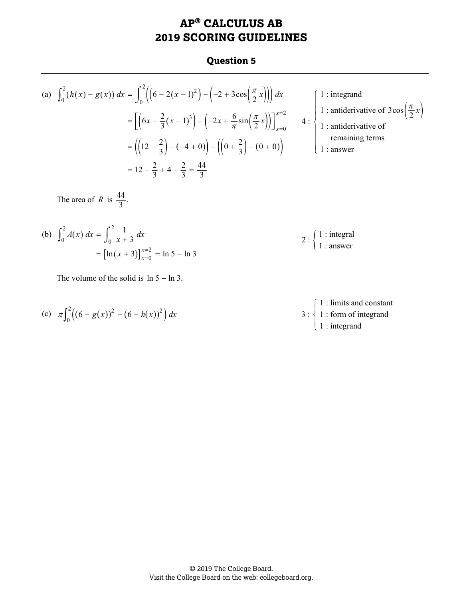## **AP® CALCULUS AB 2019 SCORING GUIDELINES**

#### **Question 5**

Τ

(a) 
$$
\int_0^2 (h(x) - g(x)) dx = \int_0^2 ((6 - 2(x - 1)^2) - (-2 + 3\cos(\frac{\pi}{2}x))) dx
$$
  
\n
$$
= [6x - \frac{2}{3}(x - 1)^3] - (-2x + \frac{6}{\pi}\sin(\frac{\pi}{2}x))]_{x=0}^{x=2}
$$
\n
$$
= ((12 - \frac{2}{3}) - (-4 + 0)) - ((0 + \frac{2}{3}) - (0 + 0))
$$
\n
$$
= 12 - \frac{2}{3} + 4 - \frac{2}{3} = \frac{44}{3}
$$
\nThe area of *R* is  $\frac{44}{3}$ .  
\n(b)  $\int_0^2 A(x) dx = \int_0^2 \frac{1}{x+3} dx$   
\n
$$
= [ln(x + 3)]_{x=0}^{x=2} = ln 5 - ln 3
$$
\nThe volume of the solid is  $ln 5 - ln 3$ .  
\n(c)  $\pi \int_0^2 ((6 - g(x))^2 - (6 - h(x))^2) dx$   
\n
$$
= (ln(x + 3))_{x=0}^{x=2} = ln 5 - ln 3
$$
\n
$$
= \left[ ln (x + 3) \right]_0^{x=2} = \frac{ln(3)}{1 + ln(3)} = ln 3
$$
\n
$$
= \left[ ln (x + 3) \right]_0^{x=2} = ln 5 - ln 3
$$
\n
$$
= \left[ ln (x + 3) \right]_0^{x=2} = ln 5 - ln 3
$$
\n
$$
= \left[ ln (x + 3) \right]_0^{x=2} = ln 5 - ln 3
$$
\n
$$
= \left[ ln (x + 3) \right]_0^{x=2} = ln 5 - ln 3
$$
\n
$$
= \left[ ln (x + 3) \right]_0^{x=2} = ln 5 - ln 3
$$
\n
$$
= \left[ ln (x + 3) \right]_0^{x=2} = ln 5 - ln 3
$$
\n
$$
= \left[ ln (x + 3) \right]_0^{x=2} = ln 5 - ln 3
$$
\n
$$
= \left[ ln (x + 3) \right]_0^{x=2} = ln 5 - ln 3
$$
\n<